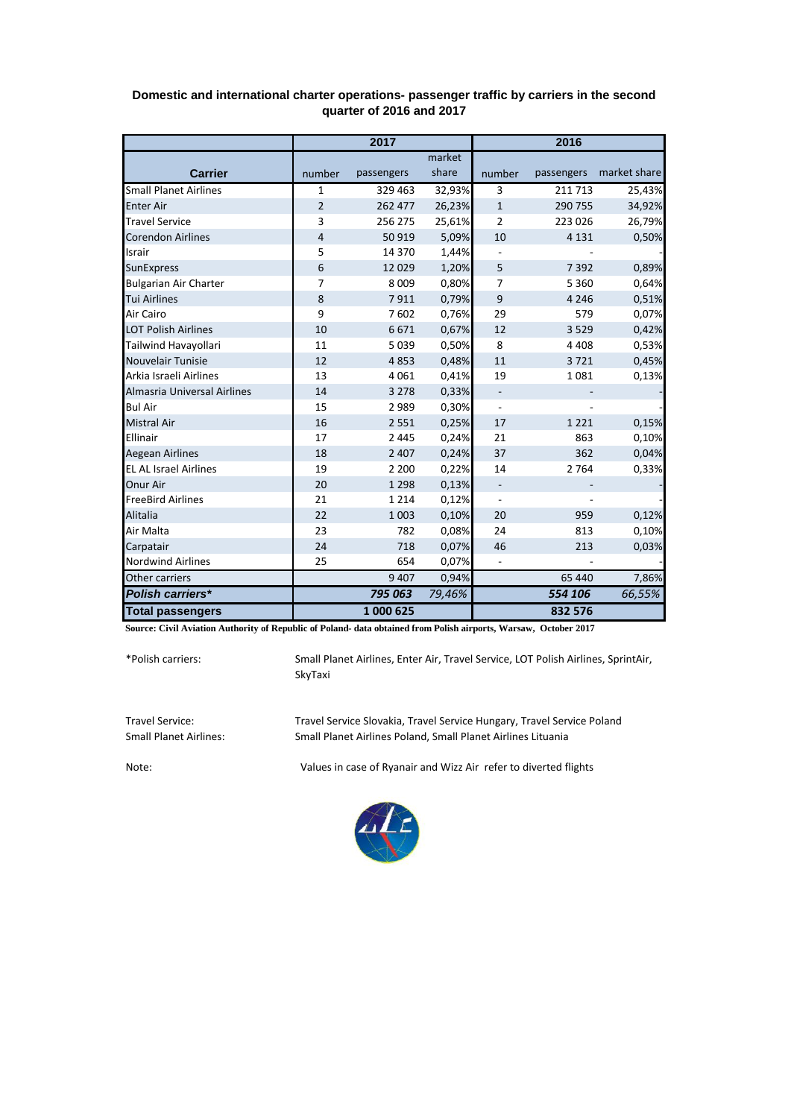|                              | 2017           |            |        | 2016                     |            |              |
|------------------------------|----------------|------------|--------|--------------------------|------------|--------------|
|                              |                |            | market |                          |            |              |
| <b>Carrier</b>               | number         | passengers | share  | number                   | passengers | market share |
| <b>Small Planet Airlines</b> | $\mathbf{1}$   | 329 463    | 32,93% | 3                        | 211 713    | 25,43%       |
| <b>Enter Air</b>             | $\overline{2}$ | 262 477    | 26,23% | $\mathbf{1}$             | 290 755    | 34,92%       |
| <b>Travel Service</b>        | 3              | 256 275    | 25,61% | 2                        | 223 026    | 26,79%       |
| <b>Corendon Airlines</b>     | 4              | 50919      | 5,09%  | 10                       | 4 1 3 1    | 0,50%        |
| Israir                       | 5              | 14 370     | 1,44%  |                          |            |              |
| <b>SunExpress</b>            | 6              | 12029      | 1,20%  | 5                        | 7 3 9 2    | 0,89%        |
| <b>Bulgarian Air Charter</b> | $\overline{7}$ | 8 0 0 9    | 0,80%  | 7                        | 5 3 6 0    | 0,64%        |
| <b>Tui Airlines</b>          | 8              | 7911       | 0,79%  | $\boldsymbol{9}$         | 4 2 4 6    | 0,51%        |
| Air Cairo                    | 9              | 7602       | 0,76%  | 29                       | 579        | 0,07%        |
| <b>LOT Polish Airlines</b>   | 10             | 6671       | 0,67%  | 12                       | 3 5 2 9    | 0,42%        |
| Tailwind Havayollari         | 11             | 5039       | 0,50%  | 8                        | 4 4 0 8    | 0,53%        |
| Nouvelair Tunisie            | 12             | 4853       | 0,48%  | 11                       | 3721       | 0,45%        |
| Arkia Israeli Airlines       | 13             | 4061       | 0,41%  | 19                       | 1081       | 0,13%        |
| Almasria Universal Airlines  | 14             | 3 2 7 8    | 0,33%  | $\overline{\phantom{0}}$ |            |              |
| <b>Bul Air</b>               | 15             | 2989       | 0,30%  | $\overline{\phantom{0}}$ |            |              |
| <b>Mistral Air</b>           | 16             | 2 5 5 1    | 0,25%  | 17                       | 1 2 2 1    | 0,15%        |
| Ellinair                     | 17             | 2 4 4 5    | 0,24%  | 21                       | 863        | 0,10%        |
| <b>Aegean Airlines</b>       | 18             | 2 4 0 7    | 0,24%  | 37                       | 362        | 0,04%        |
| <b>EL AL Israel Airlines</b> | 19             | 2 2 0 0    | 0,22%  | 14                       | 2 7 6 4    | 0,33%        |
| Onur Air                     | 20             | 1 2 9 8    | 0,13%  |                          |            |              |
| <b>FreeBird Airlines</b>     | 21             | 1 2 1 4    | 0,12%  | $\overline{\phantom{m}}$ |            |              |
| Alitalia                     | 22             | 1 0 0 3    | 0,10%  | 20                       | 959        | 0,12%        |
| Air Malta                    | 23             | 782        | 0,08%  | 24                       | 813        | 0,10%        |
| Carpatair                    | 24             | 718        | 0,07%  | 46                       | 213        | 0,03%        |
| <b>Nordwind Airlines</b>     | 25             | 654        | 0,07%  |                          |            |              |
| Other carriers               |                | 9407       | 0,94%  |                          | 65 440     | 7,86%        |
| Polish carriers*             |                | 795 063    | 79,46% |                          | 554 106    | 66,55%       |
| <b>Total passengers</b>      |                | 1 000 625  |        |                          | 832 576    |              |

## **Domestic and international charter operations- passenger traffic by carriers in the second quarter of 2016 and 2017**

**Source: Civil Aviation Authority of Republic of Poland- data obtained from Polish airports, Warsaw, October 2017**

\*Polish carriers:

Small Planet Airlines, Enter Air, Travel Service, LOT Polish Airlines, SprintAir, SkyTaxi

Travel Service: Travel Service Slovakia, Travel Service Hungary, Travel Service Poland Small Planet Airlines Poland, Small Planet Airlines Lituania

Note: Values in case of Ryanair and Wizz Air refer to diverted flights